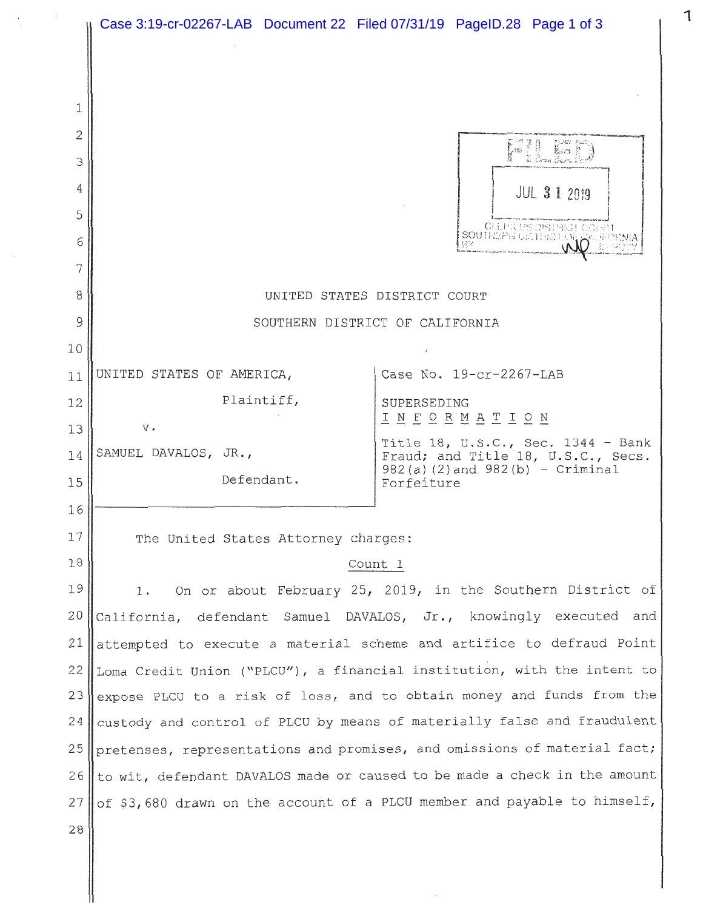|  |    | Case 3:19-cr-02267-LAB Document 22 Filed 07/31/19 PageID.28 Page 1 of 3                                                                                                                                                                                                                                                                                                                                                                                                                                                                                                                               |                                                                                                                                  |  |
|--|----|-------------------------------------------------------------------------------------------------------------------------------------------------------------------------------------------------------------------------------------------------------------------------------------------------------------------------------------------------------------------------------------------------------------------------------------------------------------------------------------------------------------------------------------------------------------------------------------------------------|----------------------------------------------------------------------------------------------------------------------------------|--|
|  |    |                                                                                                                                                                                                                                                                                                                                                                                                                                                                                                                                                                                                       |                                                                                                                                  |  |
|  | 1  |                                                                                                                                                                                                                                                                                                                                                                                                                                                                                                                                                                                                       |                                                                                                                                  |  |
|  | 2  |                                                                                                                                                                                                                                                                                                                                                                                                                                                                                                                                                                                                       |                                                                                                                                  |  |
|  | 3  |                                                                                                                                                                                                                                                                                                                                                                                                                                                                                                                                                                                                       |                                                                                                                                  |  |
|  | 4  |                                                                                                                                                                                                                                                                                                                                                                                                                                                                                                                                                                                                       | <b>JUL 3 1 2019</b>                                                                                                              |  |
|  | 5  |                                                                                                                                                                                                                                                                                                                                                                                                                                                                                                                                                                                                       |                                                                                                                                  |  |
|  | 6  |                                                                                                                                                                                                                                                                                                                                                                                                                                                                                                                                                                                                       | <b>CLEFK US DISTRICT COLFE</b><br><b>SOUTHEPN UICTHICT ON CAUP</b>                                                               |  |
|  | 7  |                                                                                                                                                                                                                                                                                                                                                                                                                                                                                                                                                                                                       |                                                                                                                                  |  |
|  | 8  | UNITED STATES DISTRICT COURT                                                                                                                                                                                                                                                                                                                                                                                                                                                                                                                                                                          |                                                                                                                                  |  |
|  | 9  | SOUTHERN DISTRICT OF CALIFORNIA                                                                                                                                                                                                                                                                                                                                                                                                                                                                                                                                                                       |                                                                                                                                  |  |
|  | 10 |                                                                                                                                                                                                                                                                                                                                                                                                                                                                                                                                                                                                       |                                                                                                                                  |  |
|  | 11 | UNITED STATES OF AMERICA,                                                                                                                                                                                                                                                                                                                                                                                                                                                                                                                                                                             | Case No. 19-cr-2267-LAB                                                                                                          |  |
|  | 12 | Plaintiff,                                                                                                                                                                                                                                                                                                                                                                                                                                                                                                                                                                                            | SUPERSEDING                                                                                                                      |  |
|  | 13 | $\mathbf v$ .                                                                                                                                                                                                                                                                                                                                                                                                                                                                                                                                                                                         | <u>I N F O R M A T I O N</u>                                                                                                     |  |
|  | 14 | SAMUEL DAVALOS, JR.,                                                                                                                                                                                                                                                                                                                                                                                                                                                                                                                                                                                  | Title 18, U.S.C., Sec. $1344 - Bank$<br>Fraud; and Title 18, U.S.C., Secs.<br>$982(a)$ (2) and $982(b)$ - Criminal<br>Forfeiture |  |
|  | 15 | Defendant.                                                                                                                                                                                                                                                                                                                                                                                                                                                                                                                                                                                            |                                                                                                                                  |  |
|  | 16 |                                                                                                                                                                                                                                                                                                                                                                                                                                                                                                                                                                                                       |                                                                                                                                  |  |
|  | 17 | The United States Attorney charges:<br>Count 1                                                                                                                                                                                                                                                                                                                                                                                                                                                                                                                                                        |                                                                                                                                  |  |
|  | 18 |                                                                                                                                                                                                                                                                                                                                                                                                                                                                                                                                                                                                       |                                                                                                                                  |  |
|  | 19 | On or about February 25, 2019, in the Southern District of<br>1.<br>California, defendant Samuel DAVALOS, Jr., knowingly executed and<br>attempted to execute a material scheme and artifice to defraud Point<br>Loma Credit Union ("PLCU"), a financial institution, with the intent to<br>expose PLCU to a risk of loss, and to obtain money and funds from the<br>custody and control of PLCU by means of materially false and fraudulent<br>pretenses, representations and promises, and omissions of material fact;<br>to wit, defendant DAVALOS made or caused to be made a check in the amount |                                                                                                                                  |  |
|  | 20 |                                                                                                                                                                                                                                                                                                                                                                                                                                                                                                                                                                                                       |                                                                                                                                  |  |
|  | 21 |                                                                                                                                                                                                                                                                                                                                                                                                                                                                                                                                                                                                       |                                                                                                                                  |  |
|  | 22 |                                                                                                                                                                                                                                                                                                                                                                                                                                                                                                                                                                                                       |                                                                                                                                  |  |
|  | 23 |                                                                                                                                                                                                                                                                                                                                                                                                                                                                                                                                                                                                       |                                                                                                                                  |  |
|  | 24 |                                                                                                                                                                                                                                                                                                                                                                                                                                                                                                                                                                                                       |                                                                                                                                  |  |
|  | 25 |                                                                                                                                                                                                                                                                                                                                                                                                                                                                                                                                                                                                       |                                                                                                                                  |  |
|  | 26 |                                                                                                                                                                                                                                                                                                                                                                                                                                                                                                                                                                                                       |                                                                                                                                  |  |
|  | 27 | of \$3,680 drawn on the account of a PLCU member and payable to himself,                                                                                                                                                                                                                                                                                                                                                                                                                                                                                                                              |                                                                                                                                  |  |
|  | 28 |                                                                                                                                                                                                                                                                                                                                                                                                                                                                                                                                                                                                       |                                                                                                                                  |  |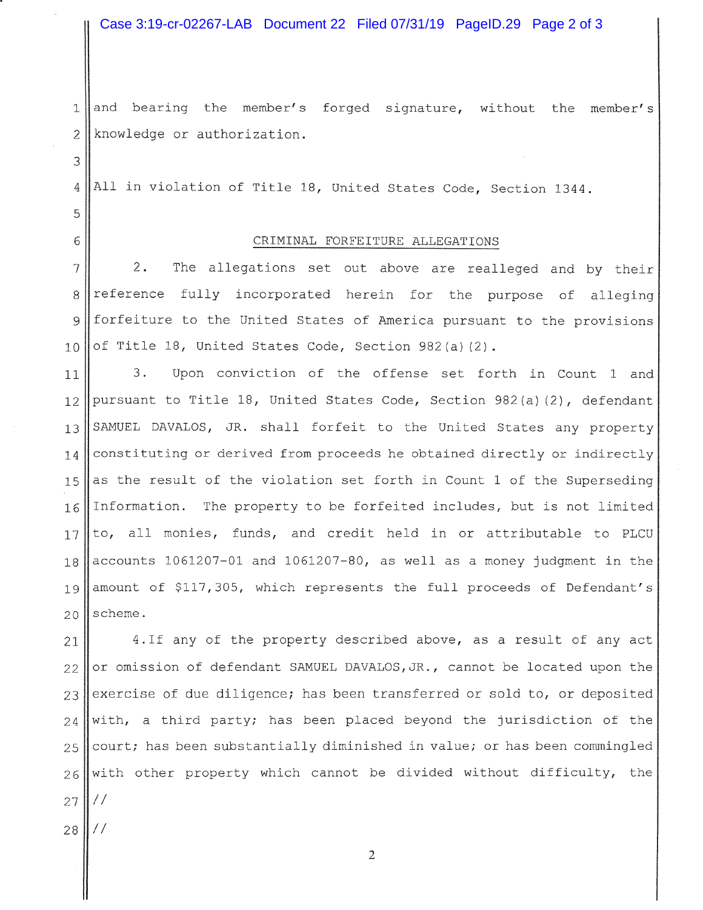Case 3:19-cr-02267-LAB Document 22 Filed 07/31/19 PageID.29 Page 2 of 3

1 and bearing the member's forged signature, without the member's 2 knowledge or authorization.

4 All in violation of Title 18, United States Code, Section 1344.

## 6 CRIMINAL FORFEITURE ALLEGATIONS

 || 2. The allegations set out above are realleged and by their 8 reference fully incorporated herein for the purpose of alleging forfeiture to the United States of America pursuant to the provisions  $\vert$  of Title 18, United States Code, Section 982(a)(2).

11 3. Upon conviction of the offense set forth in Count 1 and pursuant to Title 18, United States Code, Section 982(a)(2), defendant SAMUEL DAVALOS, JR. shall forfeit to the United States any property constituting or derived from proceeds he obtained directly or indirectly 15 as the result of the violation set forth in Count 1 of the Superseding Information. The property to be forfeited includes, but is not limited to, all monies, funds, and credit held in or attributable to PLCU accounts 1061207-01 and 1061207-80, as well as a money judgment in the 19 amount of \$117,305, which represents the full proceeds of Defendant's scheme.

 4.If any of the property described above, as a result of any act or omission of defendant SAMUEL DAVALOS, JR., cannot be located upon the exercise of due diligence; has been transferred or sold to, or deposited with, a third party; has been placed beyond the jurisdiction of the court; has been substantially diminished in value; or has been commingled with other property which cannot be divided without difficulty, the || //

|| $1/$